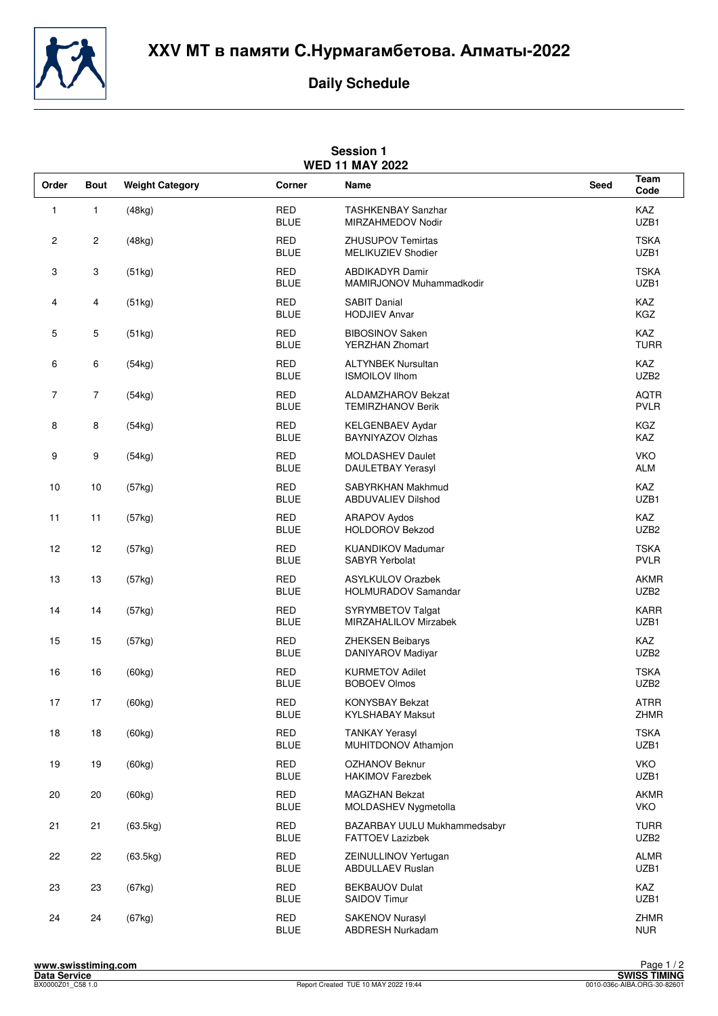**XXV** МТ в памяти **C.**Нурмагамбетова**.** Алматы**-2022**



## **Daily Schedule**

| <b>Session 1</b><br><b>WED 11 MAY 2022</b> |                         |                        |                           |                                                         |             |                                 |  |  |  |  |
|--------------------------------------------|-------------------------|------------------------|---------------------------|---------------------------------------------------------|-------------|---------------------------------|--|--|--|--|
| Order                                      | <b>Bout</b>             | <b>Weight Category</b> | Corner                    | Name                                                    | <b>Seed</b> | Team<br>Code                    |  |  |  |  |
| 1                                          | $\mathbf{1}$            | (48kg)                 | <b>RED</b><br><b>BLUE</b> | <b>TASHKENBAY Sanzhar</b><br>MIRZAHMEDOV Nodir          |             | KAZ<br>UZB1                     |  |  |  |  |
| $\overline{\mathbf{c}}$                    | $\overline{c}$          | (48kg)                 | <b>RED</b><br><b>BLUE</b> | ZHUSUPOV Temirtas<br>MELIKUZIEV Shodier                 |             | <b>TSKA</b><br>UZB1             |  |  |  |  |
| 3                                          | 3                       | (51kg)                 | <b>RED</b><br><b>BLUE</b> | <b>ABDIKADYR Damir</b><br>MAMIRJONOV Muhammadkodir      |             | <b>TSKA</b><br>UZB1             |  |  |  |  |
| 4                                          | $\overline{\mathbf{4}}$ | (51kg)                 | <b>RED</b><br><b>BLUE</b> | <b>SABIT Danial</b><br><b>HODJIEV Anvar</b>             |             | KAZ<br>KGZ                      |  |  |  |  |
| 5                                          | 5                       | (51kg)                 | <b>RED</b><br><b>BLUE</b> | <b>BIBOSINOV Saken</b><br><b>YERZHAN Zhomart</b>        |             | KAZ<br><b>TURR</b>              |  |  |  |  |
| 6                                          | 6                       | (54kg)                 | <b>RED</b><br><b>BLUE</b> | <b>ALTYNBEK Nursultan</b><br><b>ISMOILOV Ilhom</b>      |             | KAZ<br>UZB2                     |  |  |  |  |
| 7                                          | $\overline{7}$          | (54kg)                 | <b>RED</b><br><b>BLUE</b> | <b>ALDAMZHAROV Bekzat</b><br><b>TEMIRZHANOV Berik</b>   |             | <b>AQTR</b><br><b>PVLR</b>      |  |  |  |  |
| 8                                          | 8                       | (54kg)                 | <b>RED</b><br><b>BLUE</b> | <b>KELGENBAEV Aydar</b><br><b>BAYNIYAZOV Olzhas</b>     |             | KGZ<br>KAZ                      |  |  |  |  |
| 9                                          | 9                       | (54kg)                 | <b>RED</b><br><b>BLUE</b> | <b>MOLDASHEV Daulet</b><br>DAULETBAY Yerasyl            |             | <b>VKO</b><br><b>ALM</b>        |  |  |  |  |
| 10                                         | 10                      | (57kg)                 | <b>RED</b><br><b>BLUE</b> | SABYRKHAN Makhmud<br><b>ABDUVALIEV Dilshod</b>          |             | KAZ<br>UZB1                     |  |  |  |  |
| 11                                         | 11                      | (57kg)                 | <b>RED</b><br><b>BLUE</b> | <b>ARAPOV Aydos</b><br><b>HOLDOROV Bekzod</b>           |             | KAZ<br>UZB <sub>2</sub>         |  |  |  |  |
| 12                                         | 12                      | (57kg)                 | <b>RED</b><br><b>BLUE</b> | <b>KUANDIKOV Madumar</b><br><b>SABYR Yerbolat</b>       |             | <b>TSKA</b><br><b>PVLR</b>      |  |  |  |  |
| 13                                         | 13                      | (57kg)                 | <b>RED</b><br><b>BLUE</b> | <b>ASYLKULOV Orazbek</b><br>HOLMURADOV Samandar         |             | <b>AKMR</b><br>UZB <sub>2</sub> |  |  |  |  |
| 14                                         | 14                      | (57kg)                 | <b>RED</b><br><b>BLUE</b> | SYRYMBETOV Talgat<br>MIRZAHALILOV Mirzabek              |             | <b>KARR</b><br>UZB1             |  |  |  |  |
| 15                                         | 15                      | (57kg)                 | <b>RED</b><br><b>BLUE</b> | <b>ZHEKSEN Beibarys</b><br>DANIYAROV Madiyar            |             | KAZ<br>UZB <sub>2</sub>         |  |  |  |  |
| 16                                         | 16                      | (60kg)                 | <b>RED</b><br><b>BLUE</b> | <b>KURMETOV Adilet</b><br><b>BOBOEV Olmos</b>           |             | <b>TSKA</b><br>UZB <sub>2</sub> |  |  |  |  |
| 17                                         | 17                      | (60kg)                 | RED<br><b>BLUE</b>        | <b>KONYSBAY Bekzat</b><br><b>KYLSHABAY Maksut</b>       |             | <b>ATRR</b><br>ZHMR             |  |  |  |  |
| 18                                         | 18                      | (60kg)                 | <b>RED</b><br><b>BLUE</b> | <b>TANKAY Yerasyl</b><br>MUHITDONOV Athamjon            |             | <b>TSKA</b><br>UZB1             |  |  |  |  |
| 19                                         | 19                      | (60kg)                 | <b>RED</b><br><b>BLUE</b> | OZHANOV Beknur<br><b>HAKIMOV Farezbek</b>               |             | <b>VKO</b><br>UZB1              |  |  |  |  |
| 20                                         | $20\,$                  | (60kg)                 | <b>RED</b><br><b>BLUE</b> | <b>MAGZHAN Bekzat</b><br>MOLDASHEV Nygmetolla           |             | <b>AKMR</b><br><b>VKO</b>       |  |  |  |  |
| 21                                         | 21                      | (63.5kg)               | <b>RED</b><br><b>BLUE</b> | BAZARBAY UULU Mukhammedsabyr<br><b>FATTOEV Lazizbek</b> |             | <b>TURR</b><br>UZB <sub>2</sub> |  |  |  |  |
| 22                                         | 22                      | (63.5kg)               | <b>RED</b><br><b>BLUE</b> | ZEINULLINOV Yertugan<br><b>ABDULLAEV Ruslan</b>         |             | <b>ALMR</b><br>UZB1             |  |  |  |  |
| 23                                         | 23                      | (67kg)                 | <b>RED</b><br><b>BLUE</b> | <b>BEKBAUOV Dulat</b><br><b>SAIDOV Timur</b>            |             | KAZ<br>UZB1                     |  |  |  |  |
| 24                                         | 24                      | (67kg)                 | RED<br><b>BLUE</b>        | <b>SAKENOV Nurasyl</b><br>ABDRESH Nurkadam              |             | <b>ZHMR</b><br><b>NUR</b>       |  |  |  |  |